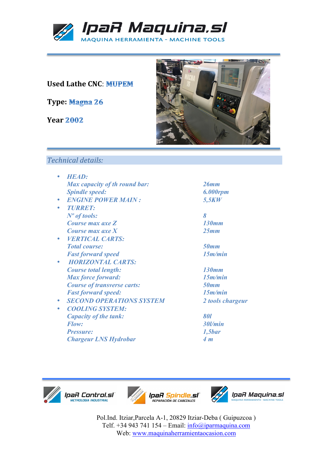

## **Used Lathe CNC: MUPEM**

**Type:**

**Year**



*Spindle speed: 6.000rpm*

*Fast forward speed 15m/min*

*Max force forward: 15m/min*

*Fast forward speed: 15m/min*

*Flow: 30l/min Pressure: 1,5bar*

• *SECOND OPERATIONS SYSTEM 2 tools chargeur*

## *Technical details:*

| 26mm               |
|--------------------|
| 6.000rp            |
| 5,5KW              |
|                    |
| 8                  |
| 130mm              |
| 25mm               |
|                    |
| <b>50mm</b>        |
| 15m/m              |
|                    |
| 130mm              |
| 15m/m              |
| <b>50mm</b>        |
| 15m/m              |
| 2 tools            |
|                    |
| 801                |
| 30l/min            |
| 1,5 <sub>bar</sub> |
| 4 m                |
|                    |



IpaR Control.sl' **METROLOGIA INQUETRIAL** 





Pol.Ind. Itziar,Parcela A-1, 20829 Itziar-Deba ( Guipuzcoa ) Telf. +34 943 741 154 – Email: info@iparmaquina.com Web: www.maquinaherramientaocasion.com